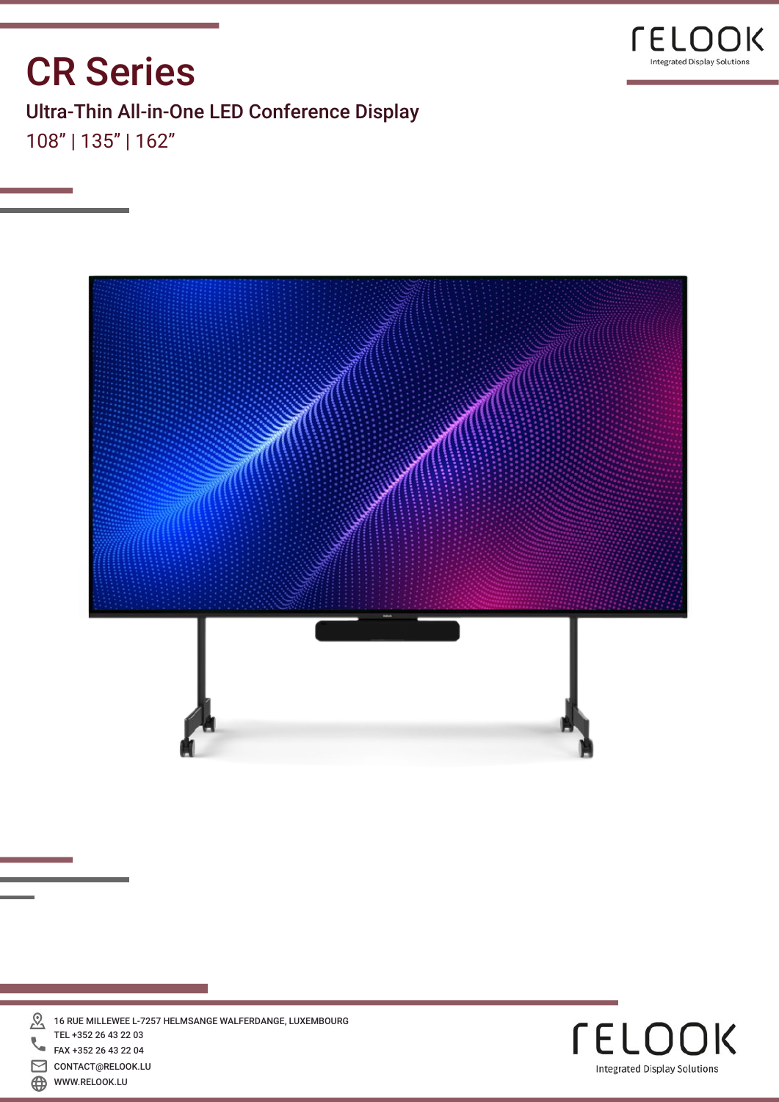

## CR Series

Ultra-Thin All-in-One LED Conference Display 108" | 135" | 162"



 ${\mathcal{Q}}$ 16 RUE MILLEWEE L-7257 HELMSANGE WALFERDANGE, LUXEMBOURG TEL +352 26 43 22 03 FAX +352 26 43 22 04 ⊠ CONTACT@RELOOK.LU  $\bigoplus$ WWW.RELOOK.LU